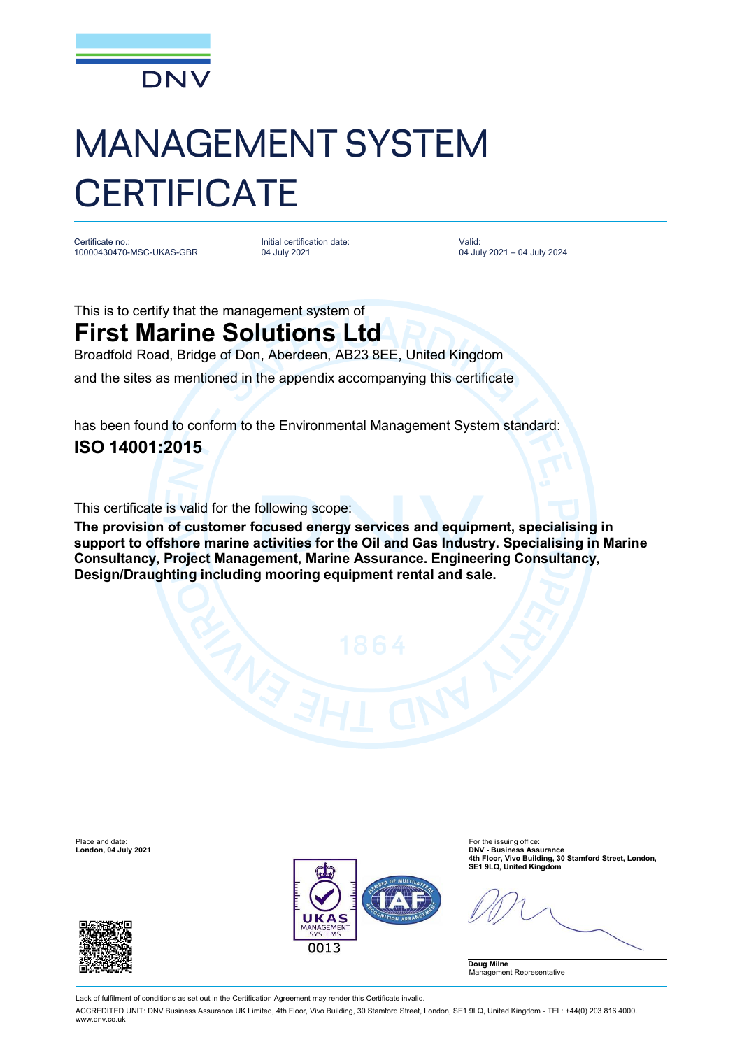

## MANAGEMENT SYSTEM **CERTIFICATE**

Certificate no.: 10000430470-MSC-UKAS-GBR Initial certification date: 04 July 2021

Valid: 04 July 2021 – 04 July 2024

This is to certify that the management system of **First Marine Solutions Ltd**

Broadfold Road, Bridge of Don, Aberdeen, AB23 8EE, United Kingdom

and the sites as mentioned in the appendix accompanying this certificate

has been found to conform to the Environmental Management System standard: **ISO 14001:2015**

This certificate is valid for the following scope:

**The provision of customer focused energy services and equipment, specialising in support to offshore marine activities for the Oil and Gas Industry. Specialising in Marine Consultancy, Project Management, Marine Assurance. Engineering Consultancy, Design/Draughting including mooring equipment rental and sale.**

Place and date: For the issuing office: For the issuing office: For the issuing office: For the issuing office:  $\blacksquare$ 





DNV - Business Assurance<br>4th Floor, Vivo Building, 30 Stamford Street, London,<br>SE1 9LQ, United Kingdom (Integration) SE1 9LQ, United Kingdom

**Doug Milne** Management Representative

Lack of fulfilment of conditions as set out in the Certification Agreement may render this Certificate invalid.

ACCREDITED UNIT: DNV Business Assurance UK Limited, 4th Floor, Vivo Building, 30 Stamford Street, London, SE1 9LQ, United Kingdom - TEL: +44(0) 203 816 4000. [www.dnv.co.uk](http://www.dnv.co.uk)